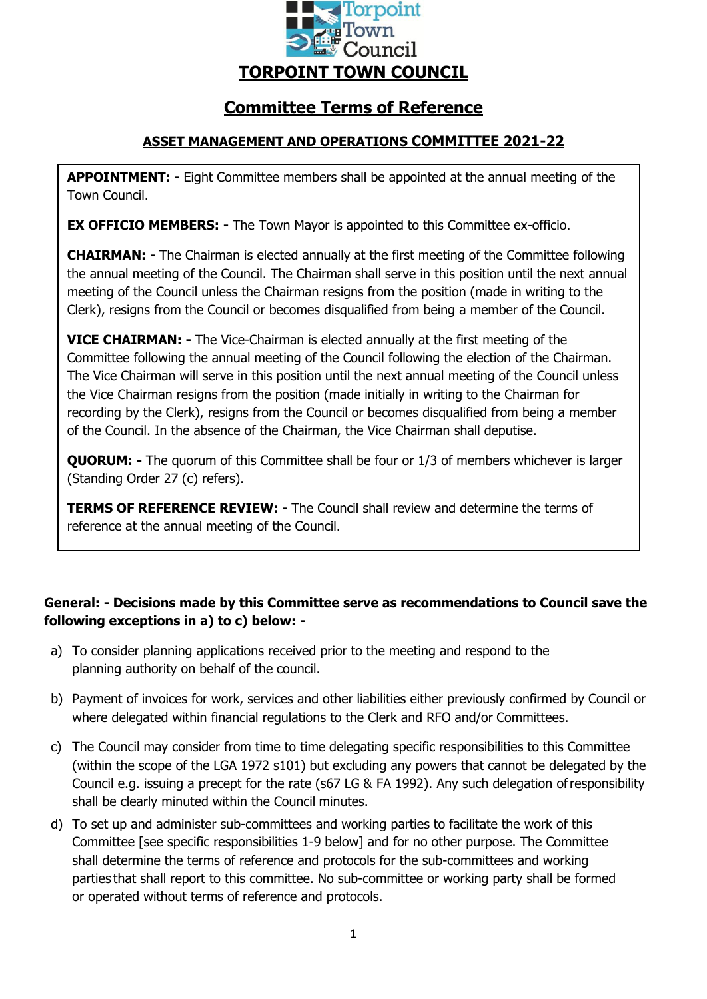

# **Committee Terms of Reference**

# **ASSET MANAGEMENT AND OPERATIONS COMMITTEE 2021-22**

**APPOINTMENT: -** Eight Committee members shall be appointed at the annual meeting of the Town Council.

**EX OFFICIO MEMBERS: -** The Town Mayor is appointed to this Committee ex-officio.

**CHAIRMAN: -** The Chairman is elected annually at the first meeting of the Committee following the annual meeting of the Council. The Chairman shall serve in this position until the next annual meeting of the Council unless the Chairman resigns from the position (made in writing to the Clerk), resigns from the Council or becomes disqualified from being a member of the Council.

**VICE CHAIRMAN: -** The Vice-Chairman is elected annually at the first meeting of the Committee following the annual meeting of the Council following the election of the Chairman. The Vice Chairman will serve in this position until the next annual meeting of the Council unless the Vice Chairman resigns from the position (made initially in writing to the Chairman for recording by the Clerk), resigns from the Council or becomes disqualified from being a member of the Council. In the absence of the Chairman, the Vice Chairman shall deputise.

**QUORUM:** - The quorum of this Committee shall be four or 1/3 of members whichever is larger (Standing Order 27 (c) refers).

**TERMS OF REFERENCE REVIEW: -** The Council shall review and determine the terms of reference at the annual meeting of the Council.

# **General: - Decisions made by this Committee serve as recommendations to Council save the following exceptions in a) to c) below: -**

- a) To consider planning applications received prior to the meeting and respond to the planning authority on behalf of the council.
- b) Payment of invoices for work, services and other liabilities either previously confirmed by Council or where delegated within financial regulations to the Clerk and RFO and/or Committees.
- c) The Council may consider from time to time delegating specific responsibilities to this Committee (within the scope of the LGA 1972 s101) but excluding any powers that cannot be delegated by the Council e.g. issuing a precept for the rate (s67 LG & FA 1992). Any such delegation ofresponsibility shall be clearly minuted within the Council minutes.
- d) To set up and administer sub-committees and working parties to facilitate the work of this Committee [see specific responsibilities 1-9 below] and for no other purpose. The Committee shall determine the terms of reference and protocols for the sub-committees and working parties that shall report to this committee. No sub-committee or working party shall be formed or operated without terms of reference and protocols.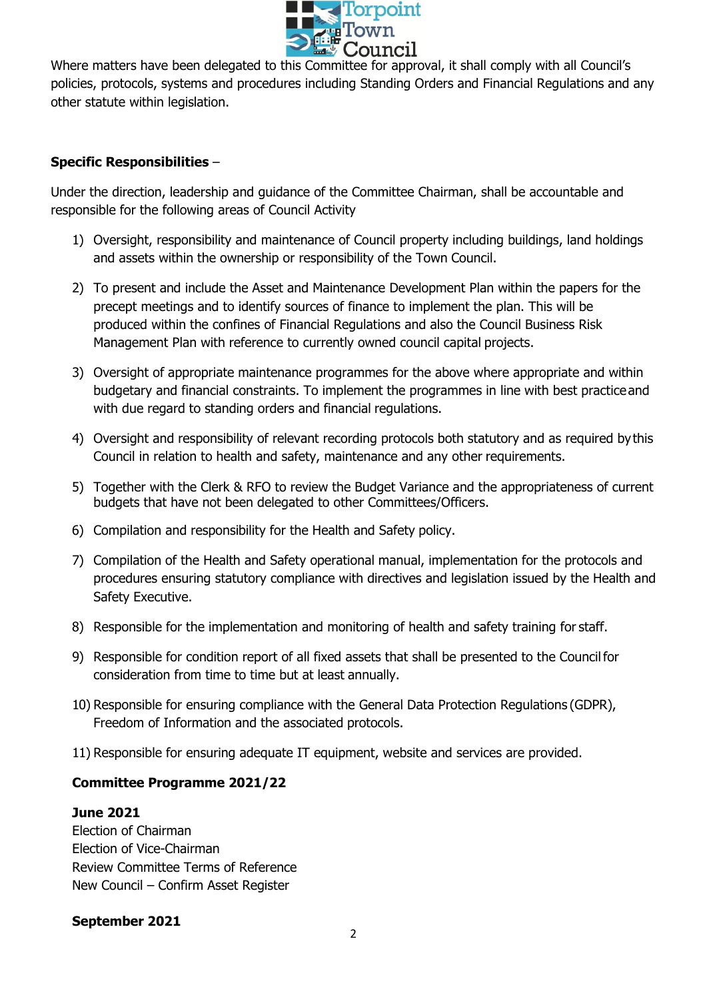

Where matters have been delegated to this Committee for approval, it shall comply with all Council's policies, protocols, systems and procedures including Standing Orders and Financial Regulations and any other statute within legislation.

# **Specific Responsibilities** –

Under the direction, leadership and guidance of the Committee Chairman, shall be accountable and responsible for the following areas of Council Activity

- 1) Oversight, responsibility and maintenance of Council property including buildings, land holdings and assets within the ownership or responsibility of the Town Council.
- 2) To present and include the Asset and Maintenance Development Plan within the papers for the precept meetings and to identify sources of finance to implement the plan. This will be produced within the confines of Financial Regulations and also the Council Business Risk Management Plan with reference to currently owned council capital projects.
- 3) Oversight of appropriate maintenance programmes for the above where appropriate and within budgetary and financial constraints. To implement the programmes in line with best practiceand with due regard to standing orders and financial regulations.
- 4) Oversight and responsibility of relevant recording protocols both statutory and as required bythis Council in relation to health and safety, maintenance and any other requirements.
- 5) Together with the Clerk & RFO to review the Budget Variance and the appropriateness of current budgets that have not been delegated to other Committees/Officers.
- 6) Compilation and responsibility for the Health and Safety policy.
- 7) Compilation of the Health and Safety operational manual, implementation for the protocols and procedures ensuring statutory compliance with directives and legislation issued by the Health and Safety Executive.
- 8) Responsible for the implementation and monitoring of health and safety training for staff.
- 9) Responsible for condition report of all fixed assets that shall be presented to the Councilfor consideration from time to time but at least annually.
- 10) Responsible for ensuring compliance with the General Data Protection Regulations (GDPR), Freedom of Information and the associated protocols.
- 11) Responsible for ensuring adequate IT equipment, website and services are provided.

#### **Committee Programme 2021/22**

#### **June 2021**

Election of Chairman Election of Vice-Chairman Review Committee Terms of Reference New Council – Confirm Asset Register

#### **September 2021**